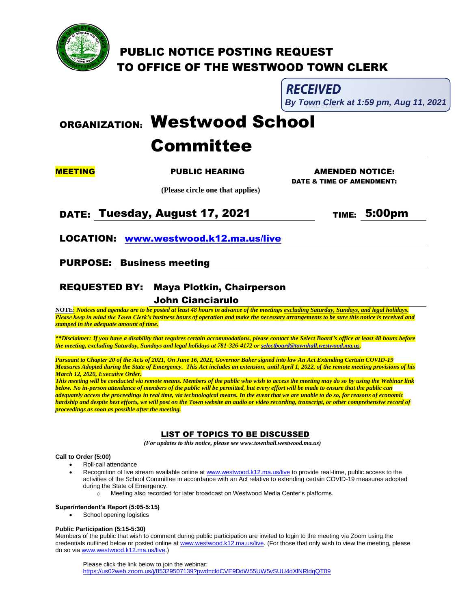

# PUBLIC NOTICE POSTING REQUEST TO OFFICE OF THE WESTWOOD TOWN CLERK

**RECEIVED** 

 $\overline{a}$ **By Town Clerk at 1:59 pm, Aug 11, 2021** 

# ORGANIZATION: Westwood School

# Committee

 **(Please circle one that applies)**

# **MEETING PUBLIC HEARING AMENDED NOTICE:**

DATE & TIME OF AMENDMENT:

DATE: Tuesday, August 17, 2021 TIME: 5:00pm

LOCATION: [www.westwood.k12.ma.us/live](http://www.westwood.k12.ma.us/live)

## PURPOSE: Business meeting

# REQUESTED BY: Maya Plotkin, Chairperson John Cianciarulo

**NOTE:** *Notices and agendas are to be posted at least 48 hours in advance of the meetings excluding Saturday, Sundays, and legal holidays. Please keep in mind the Town Clerk's business hours of operation and make the necessary arrangements to be sure this notice is received and stamped in the adequate amount of time.*

*\*\*Disclaimer: If you have a disability that requires certain accommodations, please contact the Select Board's office at least 48 hours before the meeting, excluding Saturday, Sundays and legal holidays at 781-326-4172 o[r selectboard@townhall.westwood.ma.us.](mailto:selectboard@townhall.westwood.ma.us)* 

*Pursuant to Chapter 20 of the Acts of 2021, On June 16, 2021, Governor Baker signed into law An Act Extending Certain COVID-19 Measures Adopted during the State of Emergency. This Act includes an extension, until April 1, 2022, of the remote meeting provisions of his March 12, 2020, Executive Order.*

*This meeting will be conducted via remote means. Members of the public who wish to access the meeting may do so by using the Webinar link below. No in-person attendance of members of the public will be permitted, but every effort will be made to ensure that the public can adequately access the proceedings in real time, via technological means. In the event that we are unable to do so, for reasons of economic hardship and despite best efforts, we will post on the Town website an audio or video recording, transcript, or other comprehensive record of proceedings as soon as possible after the meeting.*

### LIST OF TOPICS TO BE DISCUSSED

 *(For updates to this notice, please see www.townhall.westwood.ma.us)*

### **Call to Order (5:00)**

- Roll-call attendance
	- Recognition of live stream available online a[t www.westwood.k12.ma.us/live](http://www.westwood.k12.ma.us/live) to provide real-time, public access to the activities of the School Committee in accordance with an Act relative to extending certain COVID-19 measures adopted during the State of Emergency.
		- o Meeting also recorded for later broadcast on Westwood Media Center's platforms.

### **Superintendent's Report (5:05-5:15)**

School opening logistics

### **Public Participation (5:15-5:30)**

Members of the public that wish to comment during public participation are invited to login to the meeting via Zoom using the credentials outlined below or posted online a[t www.westwood.k12.ma.us/live.](http://www.westwood.k12.ma.us/live) (For those that only wish to view the meeting, please do so vi[a www.westwood.k12.ma.us/live.](http://www.westwood.k12.ma.us/live))

Please click the link below to join the webinar: <https://us02web.zoom.us/j/85329507139?pwd=cldCVE9DdW55UW5vSUU4dXlNRldqQT09>